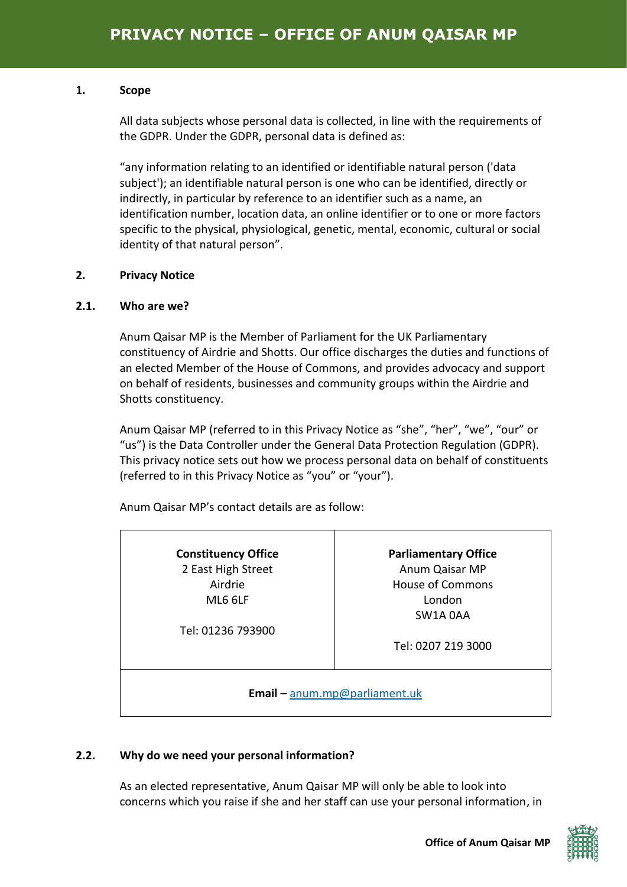#### **1. Scope**

All data subjects whose personal data is collected, in line with the requirements of the GDPR. Under the GDPR, personal data is defined as:

"any information relating to an identified or identifiable natural person ('data subject'); an identifiable natural person is one who can be identified, directly or indirectly, in particular by reference to an identifier such as a name, an identification number, location data, an online identifier or to one or more factors specific to the physical, physiological, genetic, mental, economic, cultural or social identity of that natural person".

# **2. Privacy Notice**

# **2.1. Who are we?**

Anum Qaisar MP is the Member of Parliament for the UK Parliamentary constituency of Airdrie and Shotts. Our office discharges the duties and functions of an elected Member of the House of Commons, and provides advocacy and support on behalf of residents, businesses and community groups within the Airdrie and Shotts constituency.

Anum Qaisar MP (referred to in this Privacy Notice as "she", "her", "we", "our" or "us") is the Data Controller under the General Data Protection Regulation (GDPR). This privacy notice sets out how we process personal data on behalf of constituents (referred to in this Privacy Notice as "you" or "your").

Anum Qaisar MP's contact details are as follow:

| <b>Constituency Office</b>           | <b>Parliamentary Office</b> |  |
|--------------------------------------|-----------------------------|--|
| 2 East High Street                   | Anum Qaisar MP              |  |
| Airdrie                              | <b>House of Commons</b>     |  |
| ML6 6LF                              | London                      |  |
|                                      | SW1A 0AA                    |  |
| Tel: 01236 793900                    |                             |  |
|                                      | Tel: 0207 219 3000          |  |
|                                      |                             |  |
|                                      |                             |  |
| <b>Email - anum.mp@parliament.uk</b> |                             |  |

# **2.2. Why do we need your personal information?**

As an elected representative, Anum Qaisar MP will only be able to look into concerns which you raise if she and her staff can use your personal information, in

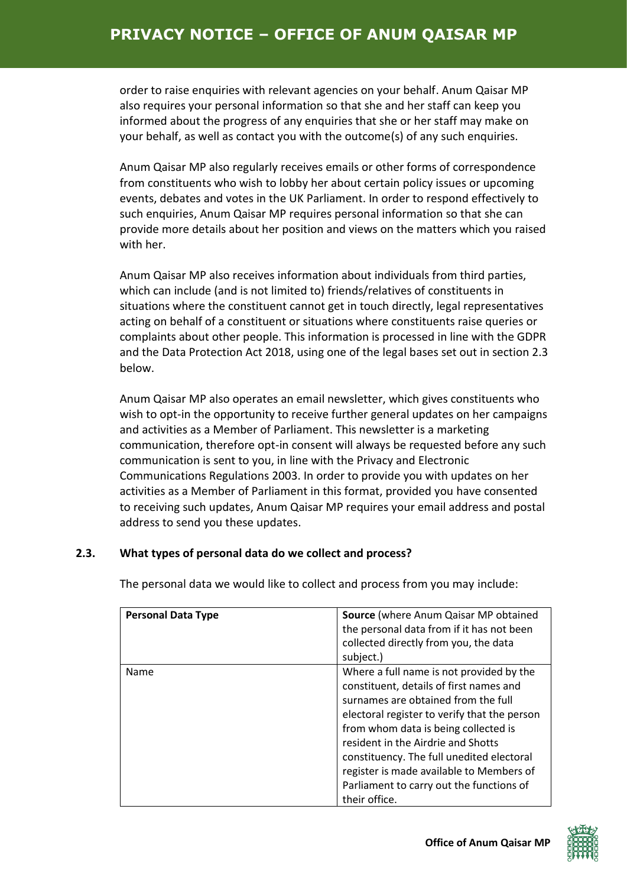# **PRIVACY NOTICE – OFFICE OF ANUM QAISAR MP**

order to raise enquiries with relevant agencies on your behalf. Anum Qaisar MP also requires your personal information so that she and her staff can keep you informed about the progress of any enquiries that she or her staff may make on your behalf, as well as contact you with the outcome(s) of any such enquiries.

Anum Qaisar MP also regularly receives emails or other forms of correspondence from constituents who wish to lobby her about certain policy issues or upcoming events, debates and votes in the UK Parliament. In order to respond effectively to such enquiries, Anum Qaisar MP requires personal information so that she can provide more details about her position and views on the matters which you raised with her.

Anum Qaisar MP also receives information about individuals from third parties, which can include (and is not limited to) friends/relatives of constituents in situations where the constituent cannot get in touch directly, legal representatives acting on behalf of a constituent or situations where constituents raise queries or complaints about other people. This information is processed in line with the GDPR and the Data Protection Act 2018, using one of the legal bases set out in section 2.3 below.

Anum Qaisar MP also operates an email newsletter, which gives constituents who wish to opt-in the opportunity to receive further general updates on her campaigns and activities as a Member of Parliament. This newsletter is a marketing communication, therefore opt-in consent will always be requested before any such communication is sent to you, in line with the Privacy and Electronic Communications Regulations 2003. In order to provide you with updates on her activities as a Member of Parliament in this format, provided you have consented to receiving such updates, Anum Qaisar MP requires your email address and postal address to send you these updates.

#### **2.3. What types of personal data do we collect and process?**

| <b>Personal Data Type</b> | <b>Source</b> (where Anum Qaisar MP obtained<br>the personal data from if it has not been<br>collected directly from you, the data<br>subject.)                                                                                                                                                                                                                                                                |
|---------------------------|----------------------------------------------------------------------------------------------------------------------------------------------------------------------------------------------------------------------------------------------------------------------------------------------------------------------------------------------------------------------------------------------------------------|
| Name                      | Where a full name is not provided by the<br>constituent, details of first names and<br>surnames are obtained from the full<br>electoral register to verify that the person<br>from whom data is being collected is<br>resident in the Airdrie and Shotts<br>constituency. The full unedited electoral<br>register is made available to Members of<br>Parliament to carry out the functions of<br>their office. |

The personal data we would like to collect and process from you may include:

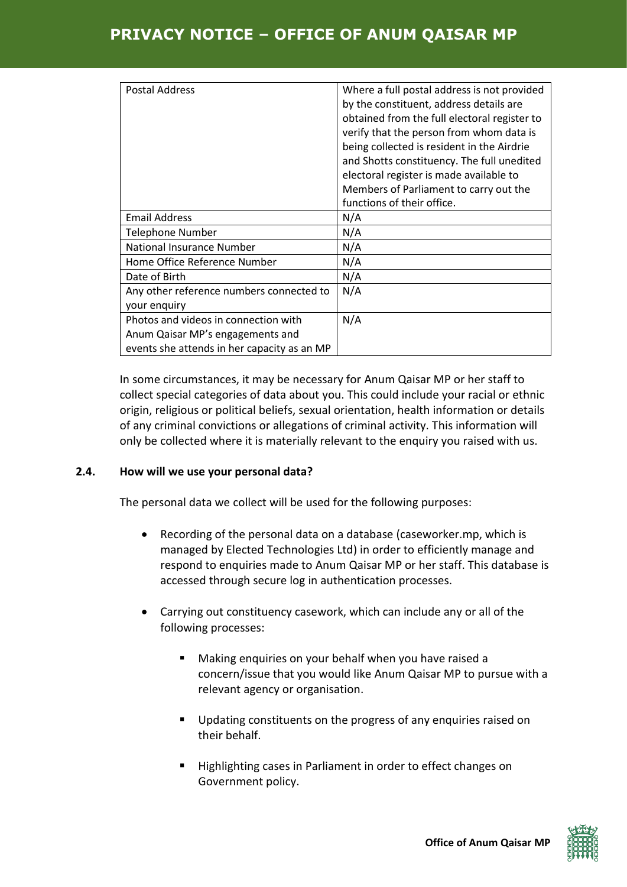# **PRIVACY NOTICE – OFFICE OF ANUM QAISAR MP**

| <b>Postal Address</b>                                                                                                   | Where a full postal address is not provided<br>by the constituent, address details are<br>obtained from the full electoral register to<br>verify that the person from whom data is<br>being collected is resident in the Airdrie<br>and Shotts constituency. The full unedited<br>electoral register is made available to<br>Members of Parliament to carry out the<br>functions of their office. |
|-------------------------------------------------------------------------------------------------------------------------|---------------------------------------------------------------------------------------------------------------------------------------------------------------------------------------------------------------------------------------------------------------------------------------------------------------------------------------------------------------------------------------------------|
| <b>Email Address</b>                                                                                                    | N/A                                                                                                                                                                                                                                                                                                                                                                                               |
| <b>Telephone Number</b>                                                                                                 | N/A                                                                                                                                                                                                                                                                                                                                                                                               |
| <b>National Insurance Number</b>                                                                                        | N/A                                                                                                                                                                                                                                                                                                                                                                                               |
| Home Office Reference Number                                                                                            | N/A                                                                                                                                                                                                                                                                                                                                                                                               |
| Date of Birth                                                                                                           | N/A                                                                                                                                                                                                                                                                                                                                                                                               |
| Any other reference numbers connected to<br>your enquiry                                                                | N/A                                                                                                                                                                                                                                                                                                                                                                                               |
| Photos and videos in connection with<br>Anum Qaisar MP's engagements and<br>events she attends in her capacity as an MP | N/A                                                                                                                                                                                                                                                                                                                                                                                               |

In some circumstances, it may be necessary for Anum Qaisar MP or her staff to collect special categories of data about you. This could include your racial or ethnic origin, religious or political beliefs, sexual orientation, health information or details of any criminal convictions or allegations of criminal activity. This information will only be collected where it is materially relevant to the enquiry you raised with us.

#### **2.4. How will we use your personal data?**

The personal data we collect will be used for the following purposes:

- Recording of the personal data on a database (caseworker.mp, which is managed by Elected Technologies Ltd) in order to efficiently manage and respond to enquiries made to Anum Qaisar MP or her staff. This database is accessed through secure log in authentication processes.
- Carrying out constituency casework, which can include any or all of the following processes:
	- Making enquiries on your behalf when you have raised a concern/issue that you would like Anum Qaisar MP to pursue with a relevant agency or organisation.
	- Updating constituents on the progress of any enquiries raised on their behalf.
	- Highlighting cases in Parliament in order to effect changes on Government policy.

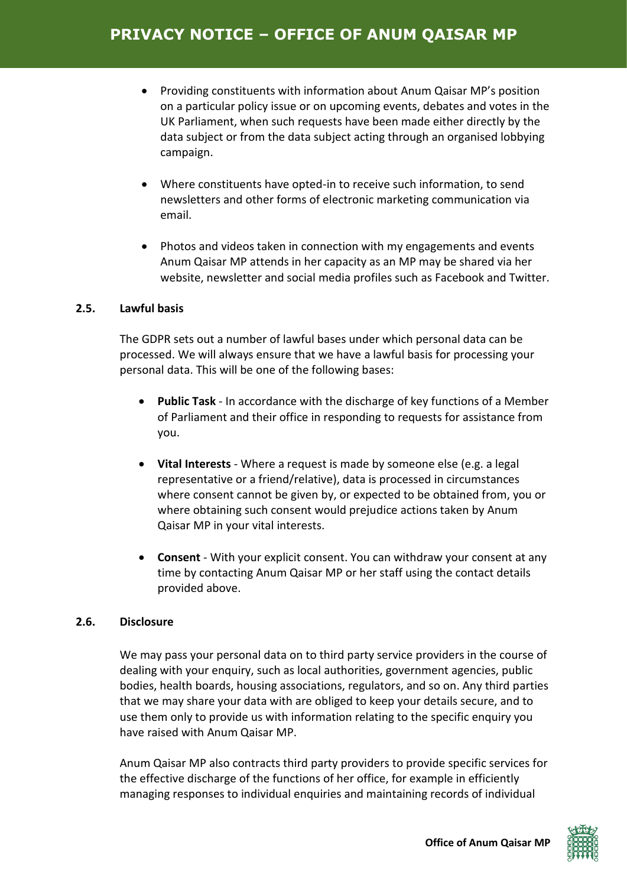- Providing constituents with information about Anum Qaisar MP's position on a particular policy issue or on upcoming events, debates and votes in the UK Parliament, when such requests have been made either directly by the data subject or from the data subject acting through an organised lobbying campaign.
- Where constituents have opted-in to receive such information, to send newsletters and other forms of electronic marketing communication via email.
- Photos and videos taken in connection with my engagements and events Anum Qaisar MP attends in her capacity as an MP may be shared via her website, newsletter and social media profiles such as Facebook and Twitter.

# **2.5. Lawful basis**

The GDPR sets out a number of lawful bases under which personal data can be processed. We will always ensure that we have a lawful basis for processing your personal data. This will be one of the following bases:

- **Public Task** In accordance with the discharge of key functions of a Member of Parliament and their office in responding to requests for assistance from you.
- **Vital Interests** Where a request is made by someone else (e.g. a legal representative or a friend/relative), data is processed in circumstances where consent cannot be given by, or expected to be obtained from, you or where obtaining such consent would prejudice actions taken by Anum Qaisar MP in your vital interests.
- **Consent** With your explicit consent. You can withdraw your consent at any time by contacting Anum Qaisar MP or her staff using the contact details provided above.

#### **2.6. Disclosure**

We may pass your personal data on to third party service providers in the course of dealing with your enquiry, such as local authorities, government agencies, public bodies, health boards, housing associations, regulators, and so on. Any third parties that we may share your data with are obliged to keep your details secure, and to use them only to provide us with information relating to the specific enquiry you have raised with Anum Qaisar MP.

Anum Qaisar MP also contracts third party providers to provide specific services for the effective discharge of the functions of her office, for example in efficiently managing responses to individual enquiries and maintaining records of individual

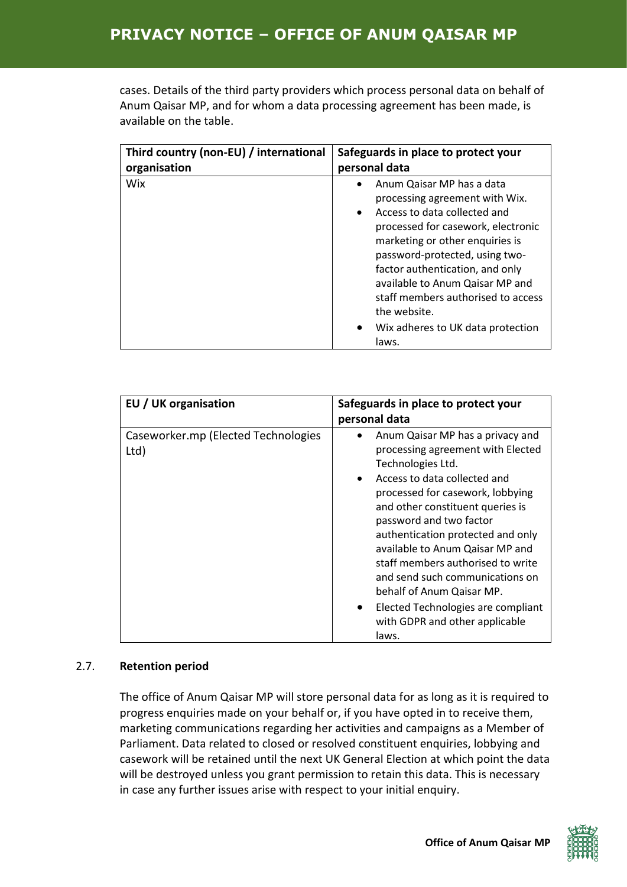# **PRIVACY NOTICE – OFFICE OF ANUM QAISAR MP**

cases. Details of the third party providers which process personal data on behalf of Anum Qaisar MP, and for whom a data processing agreement has been made, is available on the table.

| Third country (non-EU) / international | Safeguards in place to protect your                                                                                                                                                                                                                                                                                                                                                                        |  |
|----------------------------------------|------------------------------------------------------------------------------------------------------------------------------------------------------------------------------------------------------------------------------------------------------------------------------------------------------------------------------------------------------------------------------------------------------------|--|
| organisation                           | personal data                                                                                                                                                                                                                                                                                                                                                                                              |  |
| Wix                                    | Anum Qaisar MP has a data<br>processing agreement with Wix.<br>Access to data collected and<br>$\bullet$<br>processed for casework, electronic<br>marketing or other enquiries is<br>password-protected, using two-<br>factor authentication, and only<br>available to Anum Qaisar MP and<br>staff members authorised to access<br>the website.<br>Wix adheres to UK data protection<br>$\bullet$<br>laws. |  |

| EU / UK organisation                        | Safeguards in place to protect your<br>personal data                                                                                                                                                                                                                                                                                                                                                                                                                                                                  |  |
|---------------------------------------------|-----------------------------------------------------------------------------------------------------------------------------------------------------------------------------------------------------------------------------------------------------------------------------------------------------------------------------------------------------------------------------------------------------------------------------------------------------------------------------------------------------------------------|--|
| Caseworker.mp (Elected Technologies<br>Ltd) | Anum Qaisar MP has a privacy and<br>processing agreement with Elected<br>Technologies Ltd.<br>Access to data collected and<br>$\bullet$<br>processed for casework, lobbying<br>and other constituent queries is<br>password and two factor<br>authentication protected and only<br>available to Anum Qaisar MP and<br>staff members authorised to write<br>and send such communications on<br>behalf of Anum Qaisar MP.<br>Elected Technologies are compliant<br>$\bullet$<br>with GDPR and other applicable<br>laws. |  |

#### 2.7. **Retention period**

The office of Anum Qaisar MP will store personal data for as long as it is required to progress enquiries made on your behalf or, if you have opted in to receive them, marketing communications regarding her activities and campaigns as a Member of Parliament. Data related to closed or resolved constituent enquiries, lobbying and casework will be retained until the next UK General Election at which point the data will be destroyed unless you grant permission to retain this data. This is necessary in case any further issues arise with respect to your initial enquiry.

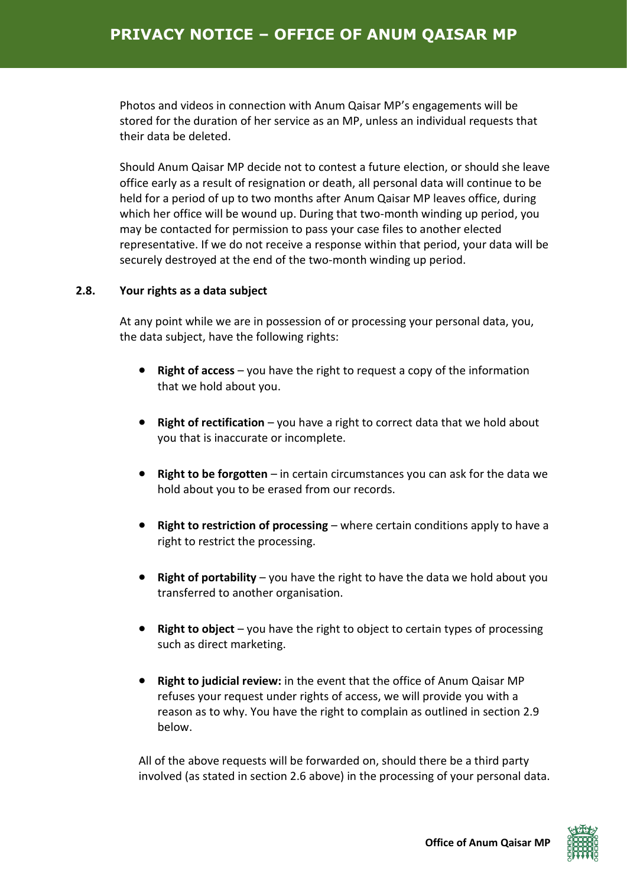Photos and videos in connection with Anum Qaisar MP's engagements will be stored for the duration of her service as an MP, unless an individual requests that their data be deleted.

Should Anum Qaisar MP decide not to contest a future election, or should she leave office early as a result of resignation or death, all personal data will continue to be held for a period of up to two months after Anum Qaisar MP leaves office, during which her office will be wound up. During that two-month winding up period, you may be contacted for permission to pass your case files to another elected representative. If we do not receive a response within that period, your data will be securely destroyed at the end of the two-month winding up period.

# **2.8. Your rights as a data subject**

At any point while we are in possession of or processing your personal data, you, the data subject, have the following rights:

- **Right of access** you have the right to request a copy of the information that we hold about you.
- **Right of rectification** you have a right to correct data that we hold about you that is inaccurate or incomplete.
- **Right to be forgotten** in certain circumstances you can ask for the data we hold about you to be erased from our records.
- **Right to restriction of processing** where certain conditions apply to have a right to restrict the processing.
- **Right of portability** you have the right to have the data we hold about you transferred to another organisation.
- **Right to object** you have the right to object to certain types of processing such as direct marketing.
- **Right to judicial review:** in the event that the office of Anum Qaisar MP refuses your request under rights of access, we will provide you with a reason as to why. You have the right to complain as outlined in section 2.9 below.

All of the above requests will be forwarded on, should there be a third party involved (as stated in section 2.6 above) in the processing of your personal data.